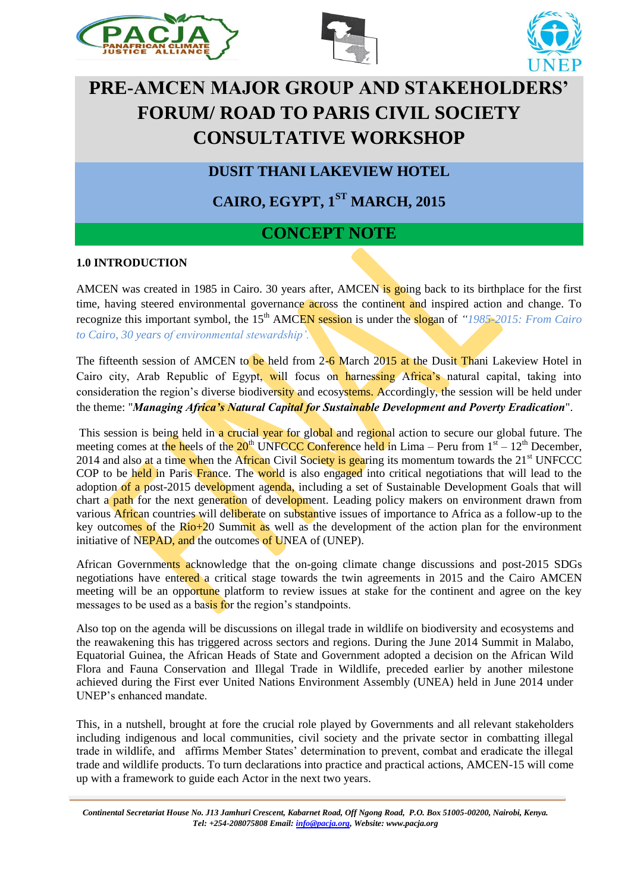





# **PRE-AMCEN MAJOR GROUP AND STAKEHOLDERS' FORUM/ ROAD TO PARIS CIVIL SOCIETY CONSULTATIVE WORKSHOP**

**DUSIT THANI LAKEVIEW HOTEL**

**CAIRO, EGYPT, 1ST MARCH, 2015**

# **CONCEPT NOTE**

## **1.0 INTRODUCTION**

AMCEN was created in 1985 in Cairo. 30 years after, AMCEN is going back to its birthplace for the first time, having steered environmental governance across the continent and inspired action and change. To recognize this important symbol, the 15<sup>th</sup> AMCEN session is under the slogan of *"1985-2015: From Cairo to Cairo, 30 years of environmental stewardship'.* 

The fifteenth session of AMCEN to be held from 2-6 March 2015 at the Dusit Thani Lakeview Hotel in Cairo city, Arab Republic of Egypt, will focus on harnessing Africa's natural capital, taking into consideration the region's diverse biodiversity and ecosystems. Accordingly, the session will be held under the theme: "*Managing Africa's Natural Capital for Sustainable Development and Poverty Eradication*".

This session is being held in a crucial year for global and regional action to secure our global future. The meeting comes at the heels of the  $20<sup>th</sup>$  UNFCCC Conference held in Lima – Peru from  $1<sup>st</sup>$  –  $12<sup>th</sup>$  December, 2014 and also at a time when the African Civil Society is gearing its momentum towards the  $21<sup>st</sup>$  UNFCCC COP to be held in Paris France. The world is also engaged into critical negotiations that will lead to the adoption of a post-2015 development agenda, including a set of Sustainable Development Goals that will chart a **path** for the next generation of development. Leading policy makers on environment drawn from various African countries will deliberate on substantive issues of importance to Africa as a follow-up to the key outcomes of the Rio+20 Summit as well as the development of the action plan for the environment initiative of NEPAD, and the outcomes of UNEA of (UNEP).

African Governments acknowledge that the on-going climate change discussions and post-2015 SDGs negotiations have entered a critical stage towards the twin agreements in 2015 and the Cairo AMCEN meeting will be an opportune platform to review issues at stake for the continent and agree on the key messages to be used as a basis for the region's standpoints.

Also top on the agenda will be discussions on illegal trade in wildlife on biodiversity and ecosystems and the reawakening this has triggered across sectors and regions. During the June 2014 Summit in Malabo, Equatorial Guinea, the African Heads of State and Government adopted a decision on the African Wild Flora and Fauna Conservation and Illegal Trade in Wildlife, preceded earlier by another milestone achieved during the First ever United Nations Environment Assembly (UNEA) held in June 2014 under UNEP's enhanced mandate.

This, in a nutshell, brought at fore the crucial role played by Governments and all relevant stakeholders including indigenous and local communities, civil society and the private sector in combatting illegal trade in wildlife, and affirms Member States' determination to prevent, combat and eradicate the illegal trade and wildlife products. To turn declarations into practice and practical actions, AMCEN-15 will come up with a framework to guide each Actor in the next two years.

*Continental Secretariat House No. J13 Jamhuri Crescent, Kabarnet Road, Off Ngong Road, P.O. Box 51005-00200, Nairobi, Kenya. Tel: +254-208075808 Email: info@pacja.org, Website: www.pacja.org*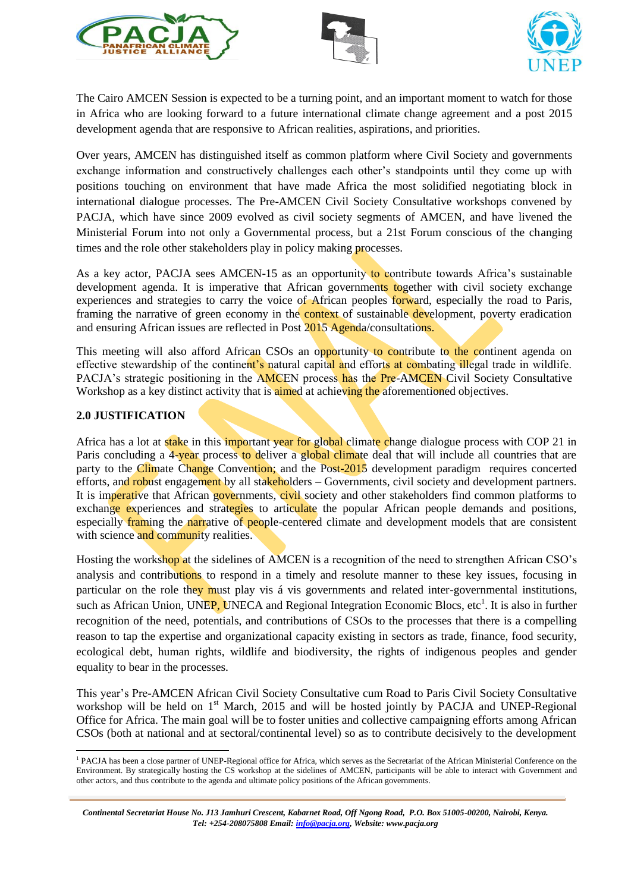





The Cairo AMCEN Session is expected to be a turning point, and an important moment to watch for those in Africa who are looking forward to a future international climate change agreement and a post 2015 development agenda that are responsive to African realities, aspirations, and priorities.

Over years, AMCEN has distinguished itself as common platform where Civil Society and governments exchange information and constructively challenges each other's standpoints until they come up with positions touching on environment that have made Africa the most solidified negotiating block in international dialogue processes. The Pre-AMCEN Civil Society Consultative workshops convened by PACJA, which have since 2009 evolved as civil society segments of AMCEN, and have livened the Ministerial Forum into not only a Governmental process, but a 21st Forum conscious of the changing times and the role other stakeholders play in policy making processes.

As a key actor, PACJA sees AMCEN-15 as an opportunity to contribute towards Africa's sustainable development agenda. It is imperative that African governments together with civil society exchange experiences and strategies to carry the voice of African peoples forward, especially the road to Paris, framing the narrative of green economy in the **context** of sustainable **development**, poverty eradication and ensuring African issues are reflected in Post 2015 Agenda/consultations.

This meeting will also afford African CSOs an opportunity to contribute to the continent agenda on effective stewardship of the continent's natural capital and efforts at combating illegal trade in wildlife. PACJA's strategic positioning in the AMCEN process has the Pre-AMCEN Civil Society Consultative Workshop as a key distinct activity that is **aimed** at achieving the aforementioned objectives.

#### **2.0 JUSTIFICATION**

Africa has a lot at stake in this important year for global climate change dialogue process with COP 21 in Paris concluding a 4-year process to deliver a global climate deal that will include all countries that are party to the Climate Change Convention; and the Post-2015 development paradigm requires concerted efforts, and robust engagement by all stakeholders – Governments, civil society and development partners. It is imperative that African governments, civil society and other stakeholders find common platforms to exchange experiences and strategies to articulate the popular African people demands and positions, especially framing the narrative of people-centered climate and development models that are consistent with science and community realities.

Hosting the workshop at the sidelines of AMCEN is a recognition of the need to strengthen African CSO's analysis and contributions to respond in a timely and resolute manner to these key issues, focusing in particular on the role they must play vis á vis governments and related inter-governmental institutions, such as African Union, UNEP, UNECA and Regional Integration Economic Blocs, etc<sup>1</sup>. It is also in further recognition of the need, potentials, and contributions of CSOs to the processes that there is a compelling reason to tap the expertise and organizational capacity existing in sectors as trade, finance, food security, ecological debt, human rights, wildlife and biodiversity, the rights of indigenous peoples and gender equality to bear in the processes.

This year's Pre-AMCEN African Civil Society Consultative cum Road to Paris Civil Society Consultative workshop will be held on 1<sup>st</sup> March, 2015 and will be hosted jointly by PACJA and UNEP-Regional Office for Africa. The main goal will be to foster unities and collective campaigning efforts among African CSOs (both at national and at sectoral/continental level) so as to contribute decisively to the development

 1 PACJA has been a close partner of UNEP-Regional office for Africa, which serves as the Secretariat of the African Ministerial Conference on the Environment. By strategically hosting the CS workshop at the sidelines of AMCEN, participants will be able to interact with Government and other actors, and thus contribute to the agenda and ultimate policy positions of the African governments.

*Continental Secretariat House No. J13 Jamhuri Crescent, Kabarnet Road, Off Ngong Road, P.O. Box 51005-00200, Nairobi, Kenya. Tel: +254-208075808 Email: info@pacja.org, Website: www.pacja.org*